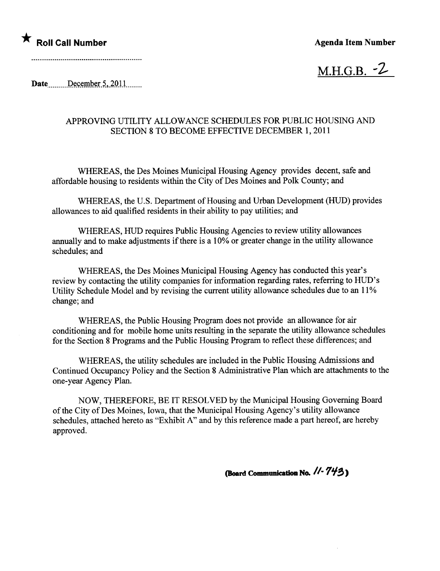M.H.G.B.  $-2$ 

Date December 5,  $2011$ 

## APPROVING UTILITY ALLOWANCE SCHEDULES FOR PUBLIC HOUSING AND SECTION 8 TO BECOME EFFECTIVE DECEMBER 1,2011

WHEREAS, the Des Moines Municipal Housing Agency provides decent, safe and affordable housing to residents within the City of Des Moines and Polk County; and

WHEREAS, the U.S. Department of Housing and Urban Development (HUD) provides allowances to aid qualified residents in their ability to pay utilities; and

WHEREAS, HUD requires Public Housing Agencies to review utility allowances anually and to make adjustments if there is a 10% or greater change in the utilty allowance schedules; and

WHEREAS, the Des Moines Municipal Housing Agency has conducted this year's review by contacting the utility companies for information regarding rates, referring to HUD's Utility Schedule Model and by revising the current utility allowance schedules due to an 11% change; and

WHEREAS, the Public Housing Program does not provide an allowance for air conditioning and for mobile home units resulting in the separate the utility allowance schedules for the Section 8 Programs and the Public Housing Program to reflect these differences; and

WHEREAS, the utility schedules are included in the Public Housing Admissions and Continued Occupancy Policy and the Section 8 Administrative Plan which are attachments to the one-year Agency Plan.

NOW, THEREFORE, BE IT RESOLVED by the Municipal Housing Governng Board of the City of Des Moines, Iowa, that the Muncipal Housing Agency's utility allowance schedules, attached hereto as "Exhibit A" and by this reference made a part hereof, are hereby approved.

(Board Communication No.  $1/- 7/9$ )